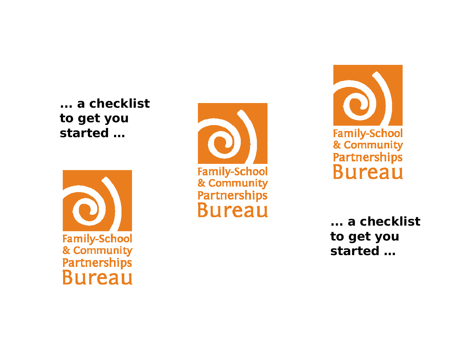**... a checklist to get you started …** 







**... a checklist to get you started …**